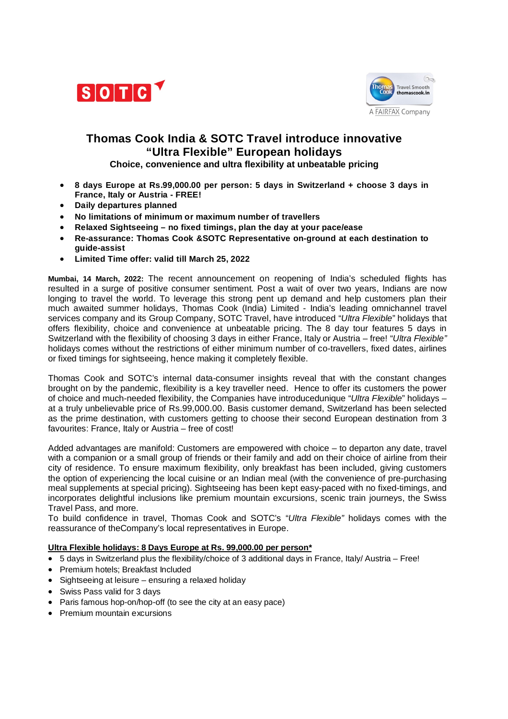



# **Thomas Cook India & SOTC Travel introduce innovative "Ultra Flexible" European holidays**

**Choice, convenience and ultra flexibility at unbeatable pricing** 

- **8 days Europe at Rs.99,000.00 per person: 5 days in Switzerland + choose 3 days in France, Italy or Austria - FREE!**
- **Daily departures planned**
- **No limitations of minimum or maximum number of travellers**
- **Relaxed Sightseeing – no fixed timings, plan the day at your pace/ease**
- **Re-assurance: Thomas Cook &SOTC Representative on-ground at each destination to guide-assist**
- **Limited Time offer: valid till March 25, 2022**

**Mumbai, 14 March, 2022:** The recent announcement on reopening of India's scheduled flights has resulted in a surge of positive consumer sentiment. Post a wait of over two years, Indians are now longing to travel the world. To leverage this strong pent up demand and help customers plan their much awaited summer holidays, Thomas Cook (India) Limited - India's leading omnichannel travel services company and its Group Company, SOTC Travel, have introduced "*Ultra Flexible*" holidays that offers flexibility, choice and convenience at unbeatable pricing. The 8 day tour features 5 days in Switzerland with the flexibility of choosing 3 days in either France, Italy or Austria – free! "*Ultra Flexible"* holidays comes without the restrictions of either minimum number of co-travellers, fixed dates, airlines or fixed timings for sightseeing, hence making it completely flexible.

Thomas Cook and SOTC's internal data-consumer insights reveal that with the constant changes brought on by the pandemic, flexibility is a key traveller need. Hence to offer its customers the power of choice and much-needed flexibility, the Companies have introducedunique "*Ultra Flexible*" holidays – at a truly unbelievable price of Rs.99,000.00. Basis customer demand, Switzerland has been selected as the prime destination, with customers getting to choose their second European destination from 3 favourites: France, Italy or Austria – free of cost!

Added advantages are manifold: Customers are empowered with choice – to departon any date, travel with a companion or a small group of friends or their family and add on their choice of airline from their city of residence. To ensure maximum flexibility, only breakfast has been included, giving customers the option of experiencing the local cuisine or an Indian meal (with the convenience of pre-purchasing meal supplements at special pricing). Sightseeing has been kept easy-paced with no fixed-timings, and incorporates delightful inclusions like premium mountain excursions, scenic train journeys, the Swiss Travel Pass, and more.

To build confidence in travel, Thomas Cook and SOTC's "*Ultra Flexible"* holidays comes with the reassurance of theCompany's local representatives in Europe.

## **Ultra Flexible holidays: 8 Days Europe at Rs. 99,000.00 per person\***

- 5 days in Switzerland plus the flexibility/choice of 3 additional days in France, Italy/ Austria Free!
- Premium hotels; Breakfast Included
- Sightseeing at leisure ensuring a relaxed holiday
- Swiss Pass valid for 3 days
- Paris famous hop-on/hop-off (to see the city at an easy pace)
- Premium mountain excursions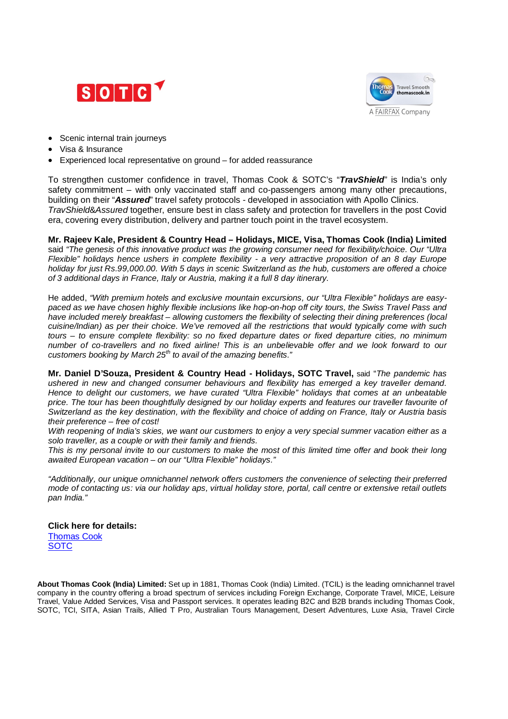



- Scenic internal train journeys
- Visa & Insurance
- Experienced local representative on ground for added reassurance

To strengthen customer confidence in travel, Thomas Cook & SOTC's "*TravShield*" is India's only safety commitment – with only vaccinated staff and co-passengers among many other precautions, building on their "*Assured*" travel safety protocols - developed in association with Apollo Clinics. *TravShield*&*Assured* together, ensure best in class safety and protection for travellers in the post Covid era, covering every distribution, delivery and partner touch point in the travel ecosystem.

**Mr. Rajeev Kale, President & Country Head – Holidays, MICE, Visa, Thomas Cook (India) Limited**  said *"The genesis of this innovative product was the growing consumer need for flexibility/choice. Our "Ultra Flexible" holidays hence ushers in complete flexibility - a very attractive proposition of an 8 day Europe holiday for just Rs.99,000.00. With 5 days in scenic Switzerland as the hub, customers are offered a choice of 3 additional days in France, Italy or Austria, making it a full 8 day itinerary.* 

He added, *"With premium hotels and exclusive mountain excursions, our "Ultra Flexible" holidays are easypaced as we have chosen highly flexible inclusions like hop-on-hop off city tours, the Swiss Travel Pass and have included merely breakfast – allowing customers the flexibility of selecting their dining preferences (local cuisine/Indian) as per their choice. We've removed all the restrictions that would typically come with such tours – to ensure complete flexibility: so no fixed departure dates or fixed departure cities, no minimum number of co-travellers and no fixed airline! This is an unbelievable offer and we look forward to our customers booking by March 25th to avail of the amazing benefits."*

**Mr. Daniel D'Souza, President & Country Head - Holidays, SOTC Travel,** said "*The pandemic has ushered in new and changed consumer behaviours and flexibility has emerged a key traveller demand. Hence to delight our customers, we have curated "Ultra Flexible" holidays that comes at an unbeatable price. The tour has been thoughtfully designed by our holiday experts and features our traveller favourite of Switzerland as the key destination, with the flexibility and choice of adding on France, Italy or Austria basis their preference – free of cost!* 

*With reopening of India's skies, we want our customers to enjoy a very special summer vacation either as a solo traveller, as a couple or with their family and friends.* 

*This is my personal invite to our customers to make the most of this limited time offer and book their long awaited European vacation – on our "Ultra Flexible" holidays."*

*"Additionally, our unique omnichannel network offers customers the convenience of selecting their preferred mode of contacting us: via our holiday aps, virtual holiday store, portal, call centre or extensive retail outlets pan India."*

**Click here for details:** Thomas Cook **SOTC** 

**About Thomas Cook (India) Limited:** Set up in 1881, Thomas Cook (India) Limited. (TCIL) is the leading omnichannel travel company in the country offering a broad spectrum of services including Foreign Exchange, Corporate Travel, MICE, Leisure Travel, Value Added Services, Visa and Passport services. It operates leading B2C and B2B brands including Thomas Cook, SOTC, TCI, SITA, Asian Trails, Allied T Pro, Australian Tours Management, Desert Adventures, Luxe Asia, Travel Circle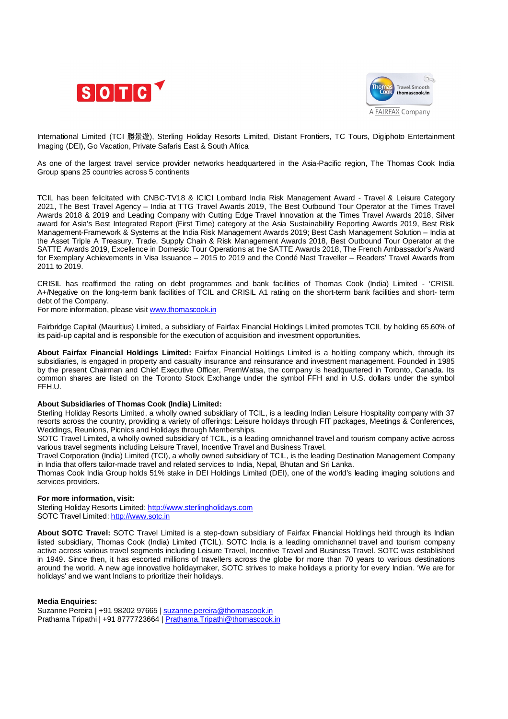



International Limited (TCI 勝景遊), Sterling Holiday Resorts Limited, Distant Frontiers, TC Tours, Digiphoto Entertainment Imaging (DEI), Go Vacation, Private Safaris East & South Africa

As one of the largest travel service provider networks headquartered in the Asia-Pacific region, The Thomas Cook India Group spans 25 countries across 5 continents

TCIL has been felicitated with CNBC-TV18 & ICICI Lombard India Risk Management Award - Travel & Leisure Category 2021, The Best Travel Agency – India at TTG Travel Awards 2019, The Best Outbound Tour Operator at the Times Travel Awards 2018 & 2019 and Leading Company with Cutting Edge Travel Innovation at the Times Travel Awards 2018, Silver award for Asia's Best Integrated Report (First Time) category at the Asia Sustainability Reporting Awards 2019, Best Risk Management-Framework & Systems at the India Risk Management Awards 2019; Best Cash Management Solution – India at the Asset Triple A Treasury, Trade, Supply Chain & Risk Management Awards 2018, Best Outbound Tour Operator at the SATTE Awards 2019, Excellence in Domestic Tour Operations at the SATTE Awards 2018, The French Ambassador's Award for Exemplary Achievements in Visa Issuance – 2015 to 2019 and the Condé Nast Traveller – Readers' Travel Awards from 2011 to 2019.

CRISIL has reaffirmed the rating on debt programmes and bank facilities of Thomas Cook (India) Limited - 'CRISIL A+/Negative on the long-term bank facilities of TCIL and CRISIL A1 rating on the short-term bank facilities and short- term debt of the Company.

For more information, please visit www.thomascook.in

Fairbridge Capital (Mauritius) Limited, a subsidiary of Fairfax Financial Holdings Limited promotes TCIL by holding 65.60% of its paid-up capital and is responsible for the execution of acquisition and investment opportunities.

**About Fairfax Financial Holdings Limited:** Fairfax Financial Holdings Limited is a holding company which, through its subsidiaries, is engaged in property and casualty insurance and reinsurance and investment management. Founded in 1985 by the present Chairman and Chief Executive Officer, PremWatsa, the company is headquartered in Toronto, Canada. Its common shares are listed on the Toronto Stock Exchange under the symbol FFH and in U.S. dollars under the symbol FFH.U.

### **About Subsidiaries of Thomas Cook (India) Limited:**

Sterling Holiday Resorts Limited, a wholly owned subsidiary of TCIL, is a leading Indian Leisure Hospitality company with 37 resorts across the country, providing a variety of offerings: Leisure holidays through FIT packages, Meetings & Conferences, Weddings, Reunions, Picnics and Holidays through Memberships.

SOTC Travel Limited, a wholly owned subsidiary of TCIL, is a leading omnichannel travel and tourism company active across various travel segments including Leisure Travel, Incentive Travel and Business Travel.

Travel Corporation (India) Limited (TCI), a wholly owned subsidiary of TCIL, is the leading Destination Management Company in India that offers tailor-made travel and related services to India, Nepal, Bhutan and Sri Lanka.

Thomas Cook India Group holds 51% stake in DEI Holdings Limited (DEI), one of the world's leading imaging solutions and services providers.

### **For more information, visit:**

Sterling Holiday Resorts Limited: http://www.sterlingholidays.com SOTC Travel Limited: http://www.sotc.in

**About SOTC Travel:** SOTC Travel Limited is a step-down subsidiary of Fairfax Financial Holdings held through its Indian listed subsidiary, Thomas Cook (India) Limited (TCIL). SOTC India is a leading omnichannel travel and tourism company active across various travel segments including Leisure Travel, Incentive Travel and Business Travel. SOTC was established in 1949. Since then, it has escorted millions of travellers across the globe for more than 70 years to various destinations around the world. A new age innovative holidaymaker, SOTC strives to make holidays a priority for every Indian. 'We are for holidays' and we want Indians to prioritize their holidays.

#### **Media Enquiries:**

Suzanne Pereira | +91 98202 97665 | suzanne.pereira@thomascook.in Prathama Tripathi | +91 8777723664 | Prathama.Tripathi@thomascook.in